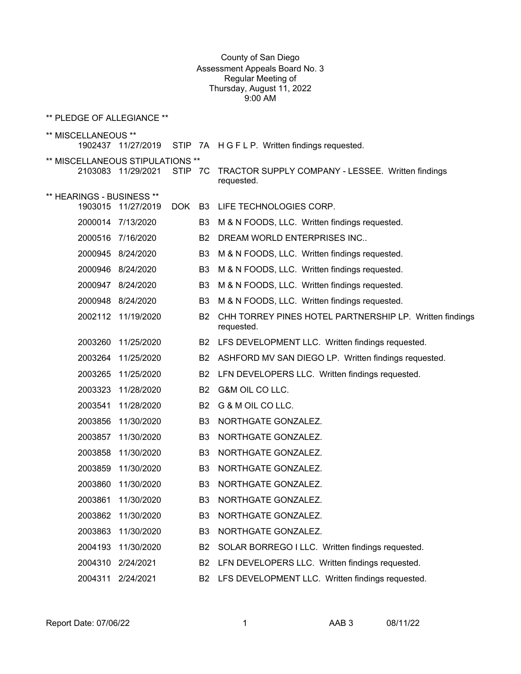## County of San Diego Assessment Appeals Board No. 3 Regular Meeting of Thursday, August 11, 2022 9:00 AM

\*\* PLEDGE OF ALLEGIANCE \*\*

| ** MISCELLANEOUS **              | 1902437 11/27/2019 |         |                | STIP 7A H G F L P. Written findings requested.                        |
|----------------------------------|--------------------|---------|----------------|-----------------------------------------------------------------------|
| ** MISCELLANEOUS STIPULATIONS ** | 2103083 11/29/2021 | STIP 7C |                | TRACTOR SUPPLY COMPANY - LESSEE. Written findings<br>requested.       |
| ** HEARINGS - BUSINESS **        |                    |         |                |                                                                       |
|                                  | 1903015 11/27/2019 | DOK     | B <sub>3</sub> | LIFE TECHNOLOGIES CORP.                                               |
|                                  | 2000014 7/13/2020  |         | B3             | M & N FOODS, LLC. Written findings requested.                         |
|                                  | 2000516 7/16/2020  |         | <b>B2</b>      | DREAM WORLD ENTERPRISES INC                                           |
|                                  | 2000945 8/24/2020  |         | B <sub>3</sub> | M & N FOODS, LLC. Written findings requested.                         |
|                                  | 2000946 8/24/2020  |         | B3             | M & N FOODS, LLC. Written findings requested.                         |
|                                  | 2000947 8/24/2020  |         | B <sub>3</sub> | M & N FOODS, LLC. Written findings requested.                         |
|                                  | 2000948 8/24/2020  |         | B <sub>3</sub> | M & N FOODS, LLC. Written findings requested.                         |
|                                  | 2002112 11/19/2020 |         | B <sub>2</sub> | CHH TORREY PINES HOTEL PARTNERSHIP LP. Written findings<br>requested. |
| 2003260                          | 11/25/2020         |         | <b>B2</b>      | LFS DEVELOPMENT LLC. Written findings requested.                      |
| 2003264                          | 11/25/2020         |         | <b>B2</b>      | ASHFORD MV SAN DIEGO LP. Written findings requested.                  |
| 2003265                          | 11/25/2020         |         | B <sub>2</sub> | LFN DEVELOPERS LLC. Written findings requested.                       |
|                                  | 2003323 11/28/2020 |         | <b>B2</b>      | G&M OIL CO LLC.                                                       |
| 2003541                          | 11/28/2020         |         | <b>B2</b>      | G & M OIL CO LLC.                                                     |
| 2003856                          | 11/30/2020         |         | B <sub>3</sub> | NORTHGATE GONZALEZ.                                                   |
| 2003857                          | 11/30/2020         |         | B <sub>3</sub> | NORTHGATE GONZALEZ.                                                   |
| 2003858                          | 11/30/2020         |         | B <sub>3</sub> | NORTHGATE GONZALEZ.                                                   |
| 2003859                          | 11/30/2020         |         | B <sub>3</sub> | NORTHGATE GONZALEZ.                                                   |
| 2003860                          | 11/30/2020         |         | B <sub>3</sub> | NORTHGATE GONZALEZ.                                                   |
| 2003861                          | 11/30/2020         |         | B <sub>3</sub> | NORTHGATE GONZALEZ.                                                   |
| 2003862                          | 11/30/2020         |         | B <sub>3</sub> | NORTHGATE GONZALEZ.                                                   |
| 2003863                          | 11/30/2020         |         | B <sub>3</sub> | NORTHGATE GONZALEZ.                                                   |
| 2004193                          | 11/30/2020         |         | B <sub>2</sub> | SOLAR BORREGO I LLC. Written findings requested.                      |
| 2004310                          | 2/24/2021          |         | B <sub>2</sub> | LFN DEVELOPERS LLC. Written findings requested.                       |
| 2004311                          | 2/24/2021          |         | B2             | LFS DEVELOPMENT LLC. Written findings requested.                      |
|                                  |                    |         |                |                                                                       |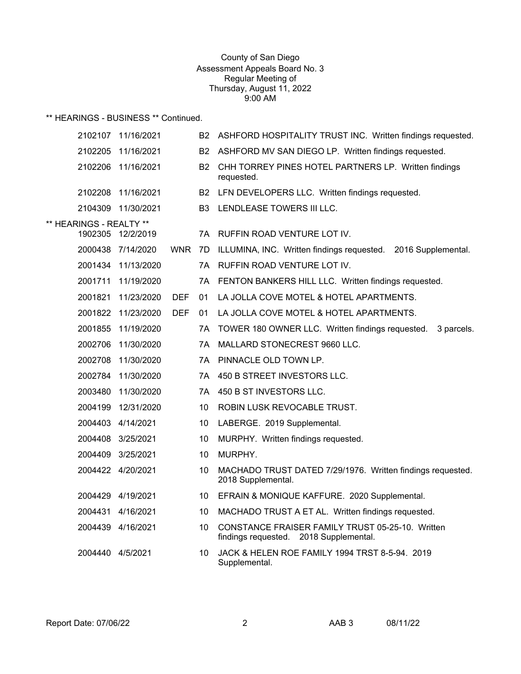### County of San Diego Assessment Appeals Board No. 3 Regular Meeting of Thursday, August 11, 2022 9:00 AM

\*\* HEARINGS - BUSINESS \*\* Continued.

|                         | 2102107 11/16/2021 |            | B2        | ASHFORD HOSPITALITY TRUST INC. Written findings requested.                                 |
|-------------------------|--------------------|------------|-----------|--------------------------------------------------------------------------------------------|
| 2102205                 | 11/16/2021         |            | B2        | ASHFORD MV SAN DIEGO LP. Written findings requested.                                       |
| 2102206                 | 11/16/2021         |            | <b>B2</b> | CHH TORREY PINES HOTEL PARTNERS LP. Written findings<br>requested.                         |
| 2102208                 | 11/16/2021         |            |           | B2 LFN DEVELOPERS LLC. Written findings requested.                                         |
| 2104309                 | 11/30/2021         |            |           | <b>B3 LENDLEASE TOWERS III LLC.</b>                                                        |
| ** HEARINGS - REALTY ** |                    |            |           |                                                                                            |
| 1902305                 | 12/2/2019          |            | 7A        | RUFFIN ROAD VENTURE LOT IV.                                                                |
|                         | 2000438 7/14/2020  | <b>WNR</b> | 7D        | ILLUMINA, INC. Written findings requested. 2016 Supplemental.                              |
|                         | 2001434 11/13/2020 |            | 7Α        | RUFFIN ROAD VENTURE LOT IV.                                                                |
| 2001711                 | 11/19/2020         |            | 7A        | FENTON BANKERS HILL LLC. Written findings requested.                                       |
| 2001821                 | 11/23/2020         | <b>DEF</b> | 01        | LA JOLLA COVE MOTEL & HOTEL APARTMENTS.                                                    |
|                         | 2001822 11/23/2020 | <b>DEF</b> | 01        | LA JOLLA COVE MOTEL & HOTEL APARTMENTS.                                                    |
| 2001855                 | 11/19/2020         |            | 7A        | TOWER 180 OWNER LLC. Written findings requested.<br>3 parcels.                             |
| 2002706                 | 11/30/2020         |            | 7Α        | MALLARD STONECREST 9660 LLC.                                                               |
| 2002708                 | 11/30/2020         |            | 7A        | PINNACLE OLD TOWN LP.                                                                      |
| 2002784                 | 11/30/2020         |            | 7A        | 450 B STREET INVESTORS LLC.                                                                |
| 2003480                 | 11/30/2020         |            | 7A        | 450 B ST INVESTORS LLC.                                                                    |
| 2004199                 | 12/31/2020         |            | 10        | ROBIN LUSK REVOCABLE TRUST.                                                                |
|                         | 2004403 4/14/2021  |            | 10        | LABERGE. 2019 Supplemental.                                                                |
|                         | 2004408 3/25/2021  |            | 10        | MURPHY. Written findings requested.                                                        |
|                         | 2004409 3/25/2021  |            | 10        | MURPHY.                                                                                    |
|                         | 2004422 4/20/2021  |            | 10        | MACHADO TRUST DATED 7/29/1976. Written findings requested.<br>2018 Supplemental.           |
|                         | 2004429 4/19/2021  |            | 10        | EFRAIN & MONIQUE KAFFURE. 2020 Supplemental.                                               |
|                         | 2004431 4/16/2021  |            | 10        | MACHADO TRUST A ET AL. Written findings requested.                                         |
|                         | 2004439 4/16/2021  |            | 10        | CONSTANCE FRAISER FAMILY TRUST 05-25-10. Written<br>findings requested. 2018 Supplemental. |
| 2004440 4/5/2021        |                    |            | 10        | JACK & HELEN ROE FAMILY 1994 TRST 8-5-94. 2019<br>Supplemental.                            |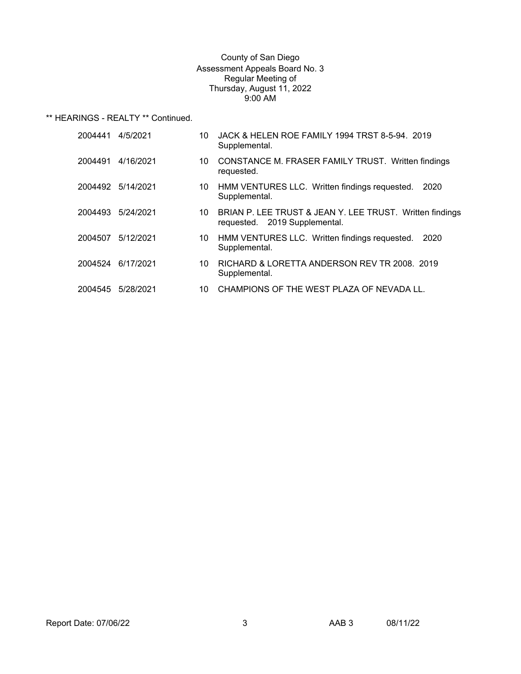## County of San Diego Assessment Appeals Board No. 3 Regular Meeting of Thursday, August 11, 2022 9:00 AM

\*\* HEARINGS - REALTY \*\* Continued.

| 2004441 | 4/5/2021  | 10 | JACK & HELEN ROE FAMILY 1994 TRST 8-5-94. 2019<br>Supplemental.                           |
|---------|-----------|----|-------------------------------------------------------------------------------------------|
| 2004491 | 4/16/2021 | 10 | CONSTANCE M. FRASER FAMILY TRUST. Written findings<br>requested.                          |
| 2004492 | 5/14/2021 | 10 | HMM VENTURES LLC. Written findings requested.<br>2020<br>Supplemental.                    |
| 2004493 | 5/24/2021 | 10 | BRIAN P. LEE TRUST & JEAN Y. LEE TRUST. Written findings<br>requested. 2019 Supplemental. |
| 2004507 | 5/12/2021 | 10 | HMM VENTURES LLC. Written findings requested.<br>2020<br>Supplemental.                    |
| 2004524 | 6/17/2021 | 10 | RICHARD & LORETTA ANDERSON REV TR 2008. 2019<br>Supplemental.                             |
| 2004545 | 5/28/2021 | 10 | CHAMPIONS OF THE WEST PLAZA OF NEVADA LL.                                                 |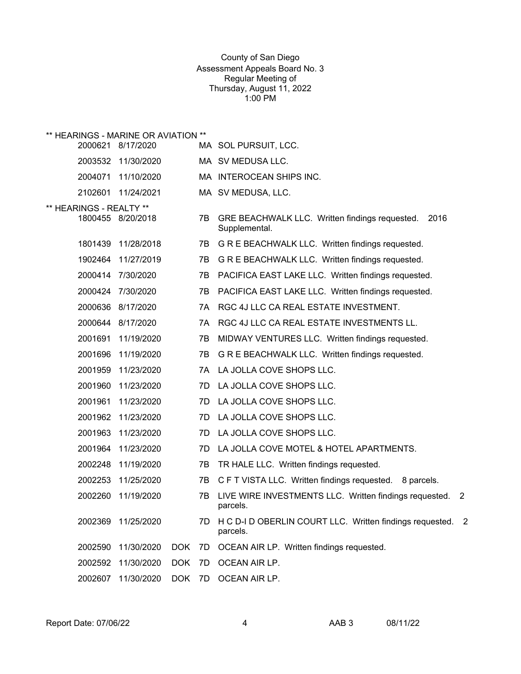## County of San Diego Assessment Appeals Board No. 3 Regular Meeting of Thursday, August 11, 2022 1:00 PM

|                         | ** HEARINGS - MARINE OR AVIATION ** |            |    |                                                                                      |
|-------------------------|-------------------------------------|------------|----|--------------------------------------------------------------------------------------|
| 2000621                 | 8/17/2020                           |            |    | MA SOL PURSUIT, LCC.                                                                 |
| 2003532                 | 11/30/2020                          |            |    | MA SV MEDUSA LLC.                                                                    |
| 2004071                 | 11/10/2020                          |            |    | MA INTEROCEAN SHIPS INC.                                                             |
| 2102601                 | 11/24/2021                          |            |    | MA SV MEDUSA, LLC.                                                                   |
| ** HEARINGS - REALTY ** |                                     |            |    |                                                                                      |
|                         | 1800455 8/20/2018                   |            | 7B | GRE BEACHWALK LLC. Written findings requested.<br>2016<br>Supplemental.              |
| 1801439                 | 11/28/2018                          |            | 7B | G R E BEACHWALK LLC. Written findings requested.                                     |
| 1902464                 | 11/27/2019                          |            | 7B | G R E BEACHWALK LLC. Written findings requested.                                     |
| 2000414                 | 7/30/2020                           |            | 7B | PACIFICA EAST LAKE LLC. Written findings requested.                                  |
| 2000424                 | 7/30/2020                           |            | 7B | PACIFICA EAST LAKE LLC. Written findings requested.                                  |
| 2000636                 | 8/17/2020                           |            | 7A | RGC 4J LLC CA REAL ESTATE INVESTMENT.                                                |
| 2000644                 | 8/17/2020                           |            | 7A | RGC 4J LLC CA REAL ESTATE INVESTMENTS LL.                                            |
| 2001691                 | 11/19/2020                          |            | 7B | MIDWAY VENTURES LLC. Written findings requested.                                     |
| 2001696                 | 11/19/2020                          |            | 7В | G R E BEACHWALK LLC. Written findings requested.                                     |
| 2001959                 | 11/23/2020                          |            | 7A | LA JOLLA COVE SHOPS LLC.                                                             |
| 2001960                 | 11/23/2020                          |            | 7D | LA JOLLA COVE SHOPS LLC.                                                             |
| 2001961                 | 11/23/2020                          |            | 7D | LA JOLLA COVE SHOPS LLC.                                                             |
| 2001962                 | 11/23/2020                          |            | 7D | LA JOLLA COVE SHOPS LLC.                                                             |
| 2001963                 | 11/23/2020                          |            | 7D | LA JOLLA COVE SHOPS LLC.                                                             |
| 2001964                 | 11/23/2020                          |            | 7D | LA JOLLA COVE MOTEL & HOTEL APARTMENTS.                                              |
| 2002248                 | 11/19/2020                          |            | 7B | TR HALE LLC. Written findings requested.                                             |
| 2002253                 | 11/25/2020                          |            | 7B | C F T VISTA LLC. Written findings requested. 8 parcels.                              |
| 2002260                 | 11/19/2020                          |            | 7B | LIVE WIRE INVESTMENTS LLC. Written findings requested.<br>$\overline{2}$<br>parcels. |
| 2002369                 | 11/25/2020                          |            | 7D | H C D-I D OBERLIN COURT LLC. Written findings requested. 2<br>parcels.               |
| 2002590                 | 11/30/2020                          | <b>DOK</b> | 7D | OCEAN AIR LP. Written findings requested.                                            |
| 2002592                 | 11/30/2020                          | <b>DOK</b> | 7D | OCEAN AIR LP.                                                                        |
| 2002607                 | 11/30/2020                          | <b>DOK</b> | 7D | OCEAN AIR LP.                                                                        |